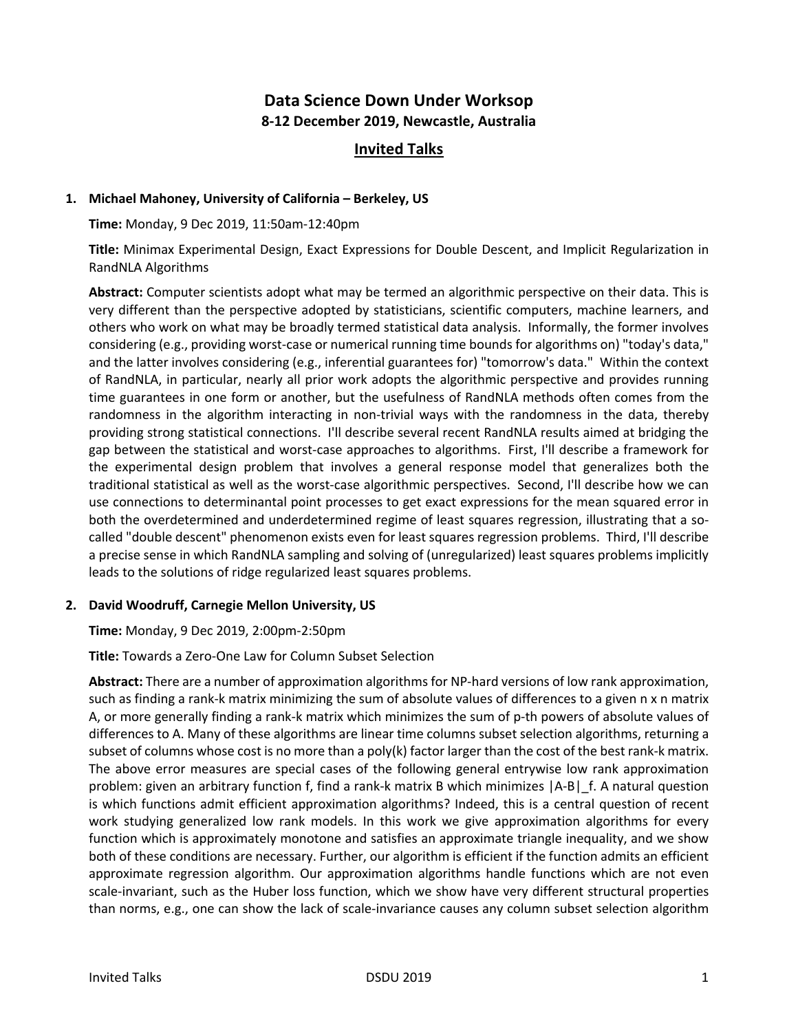# **Data Science Down Under Worksop 8-12 December 2019, Newcastle, Australia**

# **Invited Talks**

#### **1. Michael Mahoney, University of California – Berkeley, US**

**Time:** Monday, 9 Dec 2019, 11:50am-12:40pm

**Title:** Minimax Experimental Design, Exact Expressions for Double Descent, and Implicit Regularization in RandNLA Algorithms

**Abstract:** Computer scientists adopt what may be termed an algorithmic perspective on their data. This is very different than the perspective adopted by statisticians, scientific computers, machine learners, and others who work on what may be broadly termed statistical data analysis. Informally, the former involves considering (e.g., providing worst-case or numerical running time bounds for algorithms on) "today's data," and the latter involves considering (e.g., inferential guarantees for) "tomorrow's data." Within the context of RandNLA, in particular, nearly all prior work adopts the algorithmic perspective and provides running time guarantees in one form or another, but the usefulness of RandNLA methods often comes from the randomness in the algorithm interacting in non-trivial ways with the randomness in the data, thereby providing strong statistical connections. I'll describe several recent RandNLA results aimed at bridging the gap between the statistical and worst-case approaches to algorithms. First, I'll describe a framework for the experimental design problem that involves a general response model that generalizes both the traditional statistical as well as the worst-case algorithmic perspectives. Second, I'll describe how we can use connections to determinantal point processes to get exact expressions for the mean squared error in both the overdetermined and underdetermined regime of least squares regression, illustrating that a socalled "double descent" phenomenon exists even for least squares regression problems. Third, I'll describe a precise sense in which RandNLA sampling and solving of (unregularized) least squares problems implicitly leads to the solutions of ridge regularized least squares problems.

# **2. David Woodruff, Carnegie Mellon University, US**

**Time:** Monday, 9 Dec 2019, 2:00pm-2:50pm

# **Title:** Towards a Zero-One Law for Column Subset Selection

**Abstract:** There are a number of approximation algorithms for NP-hard versions of low rank approximation, such as finding a rank-k matrix minimizing the sum of absolute values of differences to a given n x n matrix A, or more generally finding a rank-k matrix which minimizes the sum of p-th powers of absolute values of differences to A. Many of these algorithms are linear time columns subset selection algorithms, returning a subset of columns whose cost is no more than a poly(k) factor larger than the cost of the best rank-k matrix. The above error measures are special cases of the following general entrywise low rank approximation problem: given an arbitrary function f, find a rank-k matrix B which minimizes  $|A-B|$  f. A natural question is which functions admit efficient approximation algorithms? Indeed, this is a central question of recent work studying generalized low rank models. In this work we give approximation algorithms for every function which is approximately monotone and satisfies an approximate triangle inequality, and we show both of these conditions are necessary. Further, our algorithm is efficient if the function admits an efficient approximate regression algorithm. Our approximation algorithms handle functions which are not even scale-invariant, such as the Huber loss function, which we show have very different structural properties than norms, e.g., one can show the lack of scale-invariance causes any column subset selection algorithm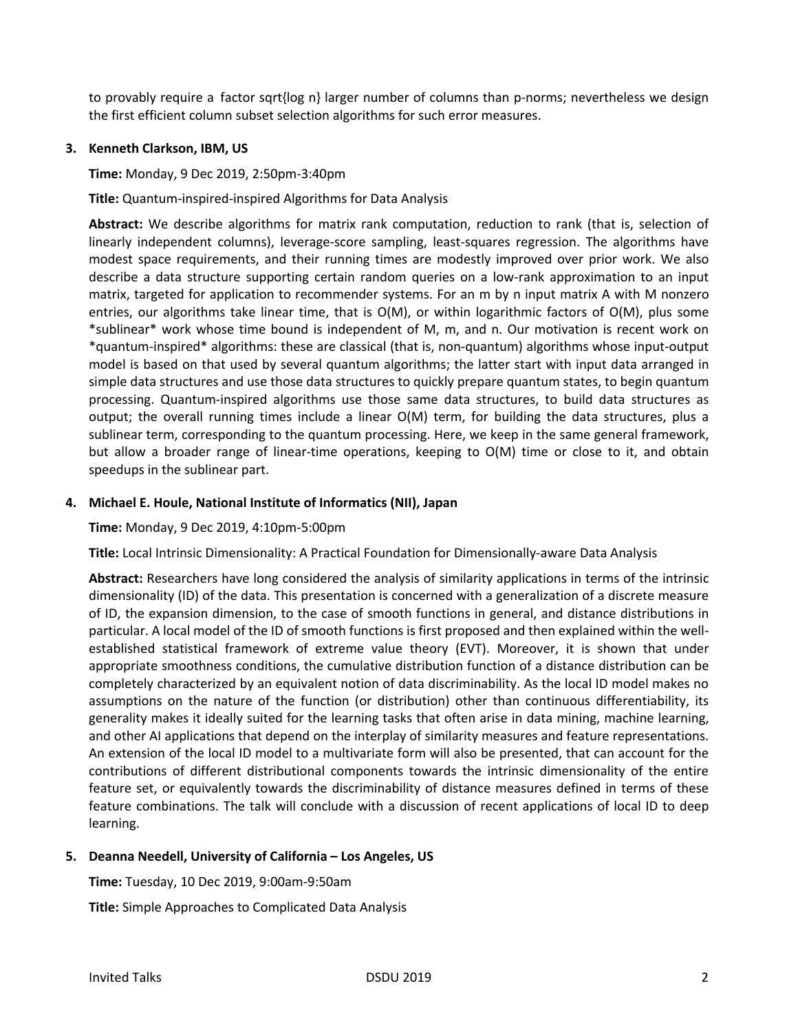to provably require a factor sqrt{log n} larger number of columns than p-norms; nevertheless we design the first efficient column subset selection algorithms for such error measures.

#### **3. Kenneth Clarkson, IBM, US**

**Time:** Monday, 9 Dec 2019, 2:50pm-3:40pm

**Title:** Quantum-inspired-inspired Algorithms for Data Analysis

**Abstract:** We describe algorithms for matrix rank computation, reduction to rank (that is, selection of linearly independent columns), leverage-score sampling, least-squares regression. The algorithms have modest space requirements, and their running times are modestly improved over prior work. We also describe a data structure supporting certain random queries on a low-rank approximation to an input matrix, targeted for application to recommender systems. For an m by n input matrix A with M nonzero entries, our algorithms take linear time, that is O(M), or within logarithmic factors of O(M), plus some \*sublinear\* work whose time bound is independent of M, m, and n. Our motivation is recent work on \*quantum-inspired\* algorithms: these are classical (that is, non-quantum) algorithms whose input-output model is based on that used by several quantum algorithms; the latter start with input data arranged in simple data structures and use those data structures to quickly prepare quantum states, to begin quantum processing. Quantum-inspired algorithms use those same data structures, to build data structures as output; the overall running times include a linear O(M) term, for building the data structures, plus a sublinear term, corresponding to the quantum processing. Here, we keep in the same general framework, but allow a broader range of linear-time operations, keeping to O(M) time or close to it, and obtain speedups in the sublinear part.

#### **4. Michael E. Houle, National Institute of Informatics (NII), Japan**

**Time:** Monday, 9 Dec 2019, 4:10pm-5:00pm

**Title:** Local Intrinsic Dimensionality: A Practical Foundation for Dimensionally-aware Data Analysis

**Abstract:** Researchers have long considered the analysis of similarity applications in terms of the intrinsic dimensionality (ID) of the data. This presentation is concerned with a generalization of a discrete measure of ID, the expansion dimension, to the case of smooth functions in general, and distance distributions in particular. A local model of the ID of smooth functions is first proposed and then explained within the wellestablished statistical framework of extreme value theory (EVT). Moreover, it is shown that under appropriate smoothness conditions, the cumulative distribution function of a distance distribution can be completely characterized by an equivalent notion of data discriminability. As the local ID model makes no assumptions on the nature of the function (or distribution) other than continuous differentiability, its generality makes it ideally suited for the learning tasks that often arise in data mining, machine learning, and other AI applications that depend on the interplay of similarity measures and feature representations. An extension of the local ID model to a multivariate form will also be presented, that can account for the contributions of different distributional components towards the intrinsic dimensionality of the entire feature set, or equivalently towards the discriminability of distance measures defined in terms of these feature combinations. The talk will conclude with a discussion of recent applications of local ID to deep learning.

# **5. Deanna Needell, University of California – Los Angeles, US**

**Time:** Tuesday, 10 Dec 2019, 9:00am-9:50am

**Title:** Simple Approaches to Complicated Data Analysis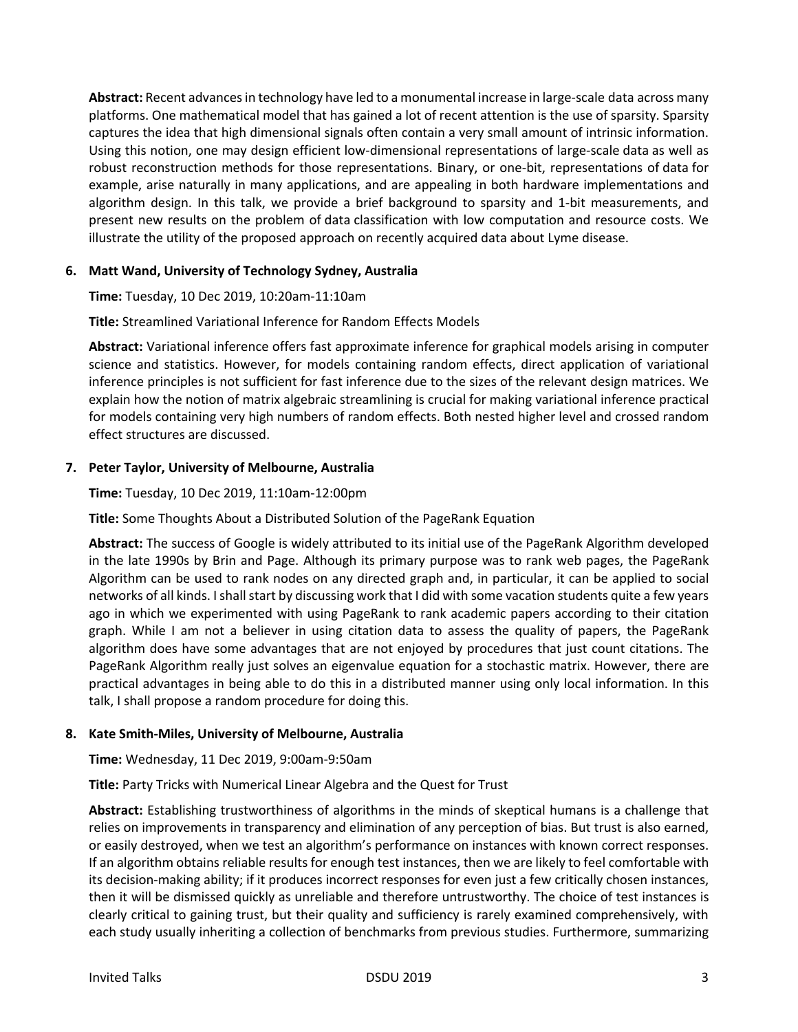**Abstract:** Recent advances in technology have led to a monumental increase in large-scale data across many platforms. One mathematical model that has gained a lot of recent attention is the use of sparsity. Sparsity captures the idea that high dimensional signals often contain a very small amount of intrinsic information. Using this notion, one may design efficient low-dimensional representations of large-scale data as well as robust reconstruction methods for those representations. Binary, or one-bit, representations of data for example, arise naturally in many applications, and are appealing in both hardware implementations and algorithm design. In this talk, we provide a brief background to sparsity and 1-bit measurements, and present new results on the problem of data classification with low computation and resource costs. We illustrate the utility of the proposed approach on recently acquired data about Lyme disease.

# **6. Matt Wand, University of Technology Sydney, Australia**

**Time:** Tuesday, 10 Dec 2019, 10:20am-11:10am

# **Title:** Streamlined Variational Inference for Random Effects Models

**Abstract:** Variational inference offers fast approximate inference for graphical models arising in computer science and statistics. However, for models containing random effects, direct application of variational inference principles is not sufficient for fast inference due to the sizes of the relevant design matrices. We explain how the notion of matrix algebraic streamlining is crucial for making variational inference practical for models containing very high numbers of random effects. Both nested higher level and crossed random effect structures are discussed.

#### **7. Peter Taylor, University of Melbourne, Australia**

**Time:** Tuesday, 10 Dec 2019, 11:10am-12:00pm

**Title:** Some Thoughts About a Distributed Solution of the PageRank Equation

**Abstract:** The success of Google is widely attributed to its initial use of the PageRank Algorithm developed in the late 1990s by Brin and Page. Although its primary purpose was to rank web pages, the PageRank Algorithm can be used to rank nodes on any directed graph and, in particular, it can be applied to social networks of all kinds. I shall start by discussing work that I did with some vacation students quite a few years ago in which we experimented with using PageRank to rank academic papers according to their citation graph. While I am not a believer in using citation data to assess the quality of papers, the PageRank algorithm does have some advantages that are not enjoyed by procedures that just count citations. The PageRank Algorithm really just solves an eigenvalue equation for a stochastic matrix. However, there are practical advantages in being able to do this in a distributed manner using only local information. In this talk, I shall propose a random procedure for doing this.

# **8. Kate Smith-Miles, University of Melbourne, Australia**

**Time:** Wednesday, 11 Dec 2019, 9:00am-9:50am

**Title:** Party Tricks with Numerical Linear Algebra and the Quest for Trust

**Abstract:** Establishing trustworthiness of algorithms in the minds of skeptical humans is a challenge that relies on improvements in transparency and elimination of any perception of bias. But trust is also earned, or easily destroyed, when we test an algorithm's performance on instances with known correct responses. If an algorithm obtains reliable results for enough test instances, then we are likely to feel comfortable with its decision-making ability; if it produces incorrect responses for even just a few critically chosen instances, then it will be dismissed quickly as unreliable and therefore untrustworthy. The choice of test instances is clearly critical to gaining trust, but their quality and sufficiency is rarely examined comprehensively, with each study usually inheriting a collection of benchmarks from previous studies. Furthermore, summarizing